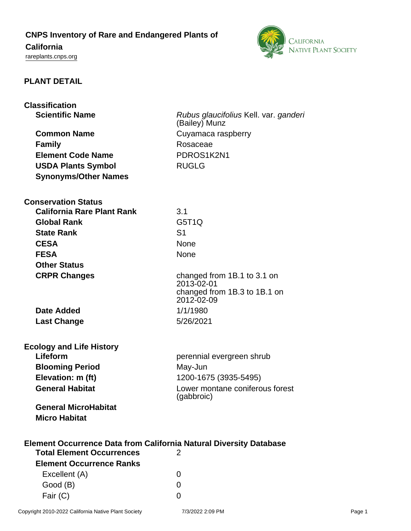## **CNPS Inventory of Rare and Endangered Plants of**

# **California**

<rareplants.cnps.org>



#### **PLANT DETAIL**

| <b>Classification</b>                                                     |                                            |
|---------------------------------------------------------------------------|--------------------------------------------|
| <b>Scientific Name</b>                                                    | Rubus glaucifolius Kell. var. ganderi      |
|                                                                           | (Bailey) Munz                              |
| <b>Common Name</b>                                                        | Cuyamaca raspberry                         |
| <b>Family</b>                                                             | Rosaceae                                   |
| <b>Element Code Name</b>                                                  | PDROS1K2N1                                 |
| <b>USDA Plants Symbol</b>                                                 | <b>RUGLG</b>                               |
| <b>Synonyms/Other Names</b>                                               |                                            |
|                                                                           |                                            |
| <b>Conservation Status</b>                                                |                                            |
| <b>California Rare Plant Rank</b>                                         | 3.1                                        |
| <b>Global Rank</b>                                                        | G5T <sub>1</sub> Q                         |
| <b>State Rank</b>                                                         | S <sub>1</sub>                             |
| <b>CESA</b>                                                               | <b>None</b>                                |
| <b>FESA</b>                                                               | <b>None</b>                                |
| <b>Other Status</b>                                                       |                                            |
| <b>CRPR Changes</b>                                                       | changed from 1B.1 to 3.1 on                |
|                                                                           | 2013-02-01                                 |
|                                                                           | changed from 1B.3 to 1B.1 on<br>2012-02-09 |
| Date Added                                                                | 1/1/1980                                   |
| <b>Last Change</b>                                                        | 5/26/2021                                  |
|                                                                           |                                            |
| <b>Ecology and Life History</b>                                           |                                            |
| Lifeform                                                                  | perennial evergreen shrub                  |
| <b>Blooming Period</b>                                                    | May-Jun                                    |
| Elevation: m (ft)                                                         | 1200-1675 (3935-5495)                      |
| <b>General Habitat</b>                                                    | Lower montane coniferous forest            |
|                                                                           | (gabbroic)                                 |
| <b>General MicroHabitat</b>                                               |                                            |
| <b>Micro Habitat</b>                                                      |                                            |
|                                                                           |                                            |
| <b>Element Occurrence Data from California Natural Diversity Database</b> |                                            |
| <b>Total Element Occurrences</b>                                          | 2                                          |
| <b>Element Occurrence Ranks</b>                                           |                                            |
| Excellent (A)                                                             | 0                                          |

Good (B) and the control of the control of the control of the control of the control of the control of the control of the control of the control of the control of the control of the control of the control of the control of Fair (C) 0